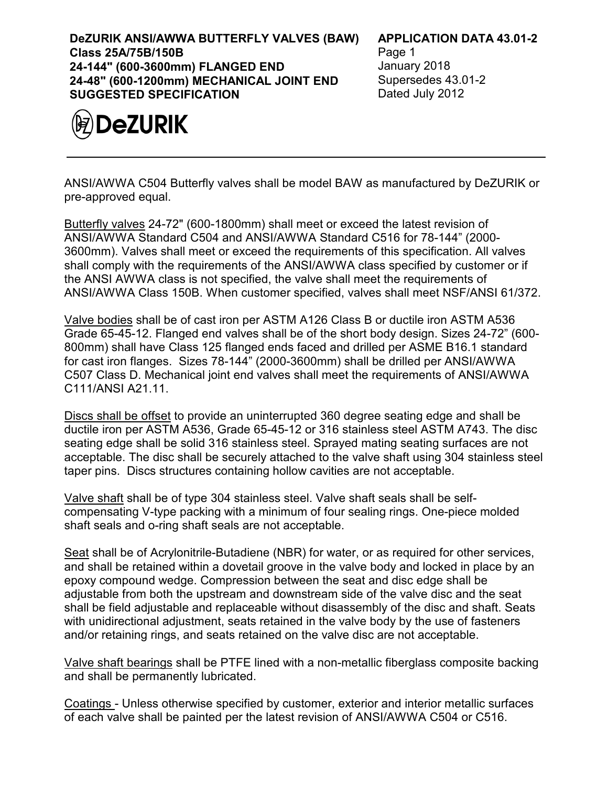**DeZURIK ANSI/AWWA BUTTERFLY VALVES (BAW) Class 25A/75B/150B 24-144" (600-3600mm) FLANGED END 24-48" (600-1200mm) MECHANICAL JOINT END SUGGESTED SPECIFICATION**



## **APPLICATION DATA 43.01-2**

Page 1 January 2018 Supersedes 43.01-2 Dated July 2012

ANSI/AWWA C504 Butterfly valves shall be model BAW as manufactured by DeZURIK or pre-approved equal.

Butterfly valves 24-72" (600-1800mm) shall meet or exceed the latest revision of ANSI/AWWA Standard C504 and ANSI/AWWA Standard C516 for 78-144" (2000- 3600mm). Valves shall meet or exceed the requirements of this specification. All valves shall comply with the requirements of the ANSI/AWWA class specified by customer or if the ANSI AWWA class is not specified, the valve shall meet the requirements of ANSI/AWWA Class 150B. When customer specified, valves shall meet NSF/ANSI 61/372.

Valve bodies shall be of cast iron per ASTM A126 Class B or ductile iron ASTM A536 Grade 65-45-12. Flanged end valves shall be of the short body design. Sizes 24-72" (600- 800mm) shall have Class 125 flanged ends faced and drilled per ASME B16.1 standard for cast iron flanges. Sizes 78-144" (2000-3600mm) shall be drilled per ANSI/AWWA C507 Class D. Mechanical joint end valves shall meet the requirements of ANSI/AWWA C111/ANSI A21.11.

Discs shall be offset to provide an uninterrupted 360 degree seating edge and shall be ductile iron per ASTM A536, Grade 65-45-12 or 316 stainless steel ASTM A743. The disc seating edge shall be solid 316 stainless steel. Sprayed mating seating surfaces are not acceptable. The disc shall be securely attached to the valve shaft using 304 stainless steel taper pins. Discs structures containing hollow cavities are not acceptable.

Valve shaft shall be of type 304 stainless steel. Valve shaft seals shall be selfcompensating V-type packing with a minimum of four sealing rings. One-piece molded shaft seals and o-ring shaft seals are not acceptable.

Seat shall be of Acrylonitrile-Butadiene (NBR) for water, or as required for other services, and shall be retained within a dovetail groove in the valve body and locked in place by an epoxy compound wedge. Compression between the seat and disc edge shall be adjustable from both the upstream and downstream side of the valve disc and the seat shall be field adjustable and replaceable without disassembly of the disc and shaft. Seats with unidirectional adjustment, seats retained in the valve body by the use of fasteners and/or retaining rings, and seats retained on the valve disc are not acceptable.

Valve shaft bearings shall be PTFE lined with a non-metallic fiberglass composite backing and shall be permanently lubricated.

Coatings - Unless otherwise specified by customer, exterior and interior metallic surfaces of each valve shall be painted per the latest revision of ANSI/AWWA C504 or C516.